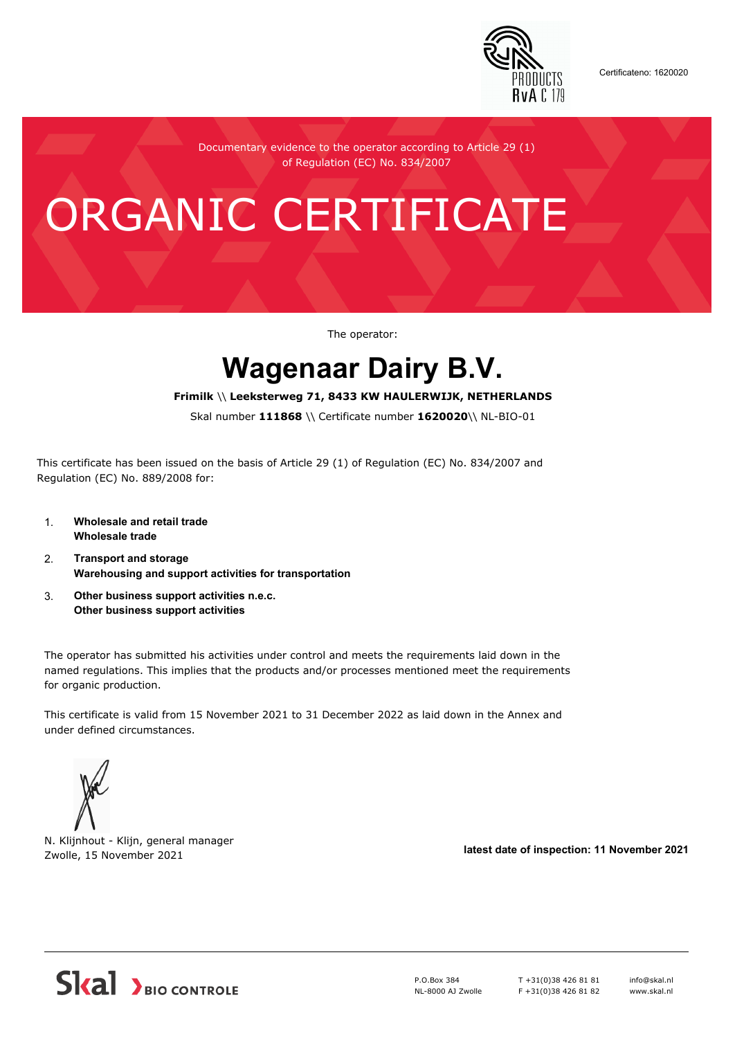

Certificateno: 1620020

Documentary evidence to the operator according to Article 29 (1) of Regulation (EC) No. 834/2007

# ORGANIC CERTIFICATE

The operator:

## **Wagenaar Dairy B.V.**

#### **Frimilk** \\ **Leeksterweg 71, 8433 KW HAULERWIJK, NETHERLANDS**

Skal number **111868** \\ Certificate number **1620020**\\ NL-BIO-01

This certificate has been issued on the basis of Article 29 (1) of Regulation (EC) No. 834/2007 and Regulation (EC) No. 889/2008 for:

- 1. **Wholesale and retail trade Wholesale trade**
- 2. **Transport and storage Warehousing and support activities for transportation**
- 3. **Other business support activities n.e.c. Other business support activities**

The operator has submitted his activities under control and meets the requirements laid down in the named regulations. This implies that the products and/or processes mentioned meet the requirements for organic production.

This certificate is valid from 15 November 2021 to 31 December 2022 as laid down in the Annex and under defined circumstances.



N. Klijnhout - Klijn, general manager Zwolle, 15 November 2021 **latest date of inspection: 11 November 2021**



P.O.Box 384 NL-8000 AJ Zwolle